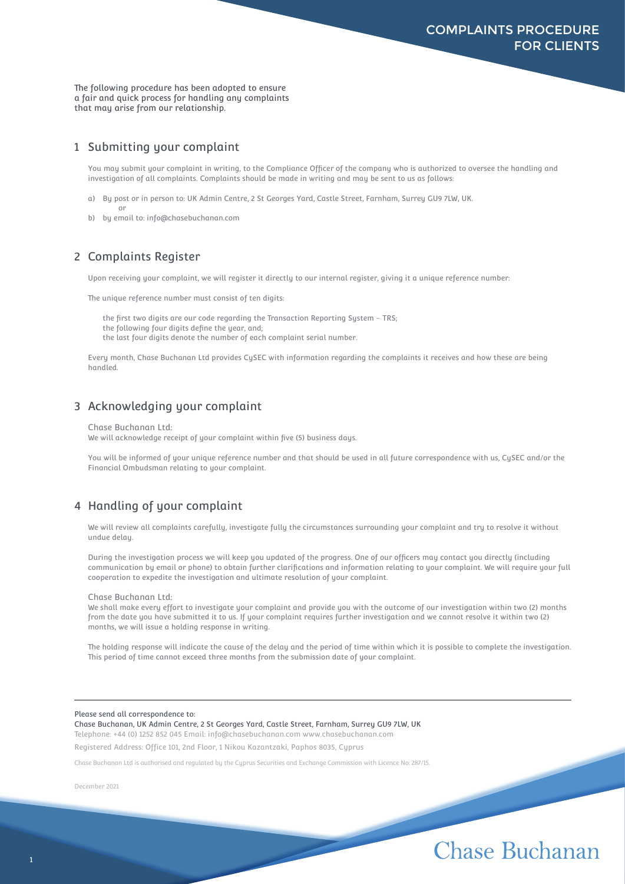The following procedure has been adopted to ensure a fair and quick process for handling any complaints that may arise from our relationship.

#### 1 Submitting your complaint

You may submit your complaint in writing, to the Compliance Officer of the company who is authorized to oversee the handling and investigation of all complaints. Complaints should be made in writing and may be sent to us as follows:

- a) By post or in person to: UK Admin Centre, 2 St Georges Yard, Castle Street, Farnham, Surrey GU9 7LW, UK. or
- b) by email to: info@chasebuchanan.com

#### 2 Complaints Register

Upon receiving your complaint, we will register it directly to our internal register, giving it a unique reference number:

The unique reference number must consist of ten digits:

the first two digits are our code regarding the Transaction Reporting System - TRS:

the following four digits define the year, and;

the last four digits denote the number of each complaint serial number.

Every month, Chase Buchanan Ltd provides CySEC with information regarding the complaints it receives and how these are being handled.

### 3 Acknowledging your complaint

Chase Buchanan Ltd:

We will acknowledge receipt of your complaint within five (5) business days.

You will be informed of your unique reference number and that should be used in all future correspondence with us, CySEC and/or the Financial Ombudsman relating to your complaint.

### 4 Handling of your complaint

We will review all complaints carefully, investigate fully the circumstances surrounding your complaint and try to resolve it without undue delay.

During the investigation process we will keep you updated of the progress. One of our officers may contact you directly (including communication by email or phone) to obtain further clarifications and information relating to your complaint. We will require your full cooperation to expedite the investigation and ultimate resolution of your complaint.

#### Chase Buchanan Ltd:

We shall make every effort to investigate your complaint and provide you with the outcome of our investigation within two (2) months from the date you have submitted it to us. If your complaint requires further investigation and we cannot resolve it within two (2) months, we will issue a holding response in writing.

The holding response will indicate the cause of the delay and the period of time within which it is possible to complete the investigation. This period of time cannot exceed three months from the submission date of your complaint.

#### Please send all correspondence to:

Chase Buchanan, UK Admin Centre, 2 St Georges Yard, Castle Street, Farnham, Surrey GU9 7LW, UK Telephone: +44 (0) 1252 852 045 Email: info@chasebuchanan.com www.chasebuchanan.com

Registered Address: Office 101, 2nd Floor, 1 Nikou Kazantzaki, Paphos 8035, Cyprus

Chase Buchanan Ltd is authorised and regulated by the Cyprus Securities and Exchange Commission with Licence No: 287/15.

December 2021

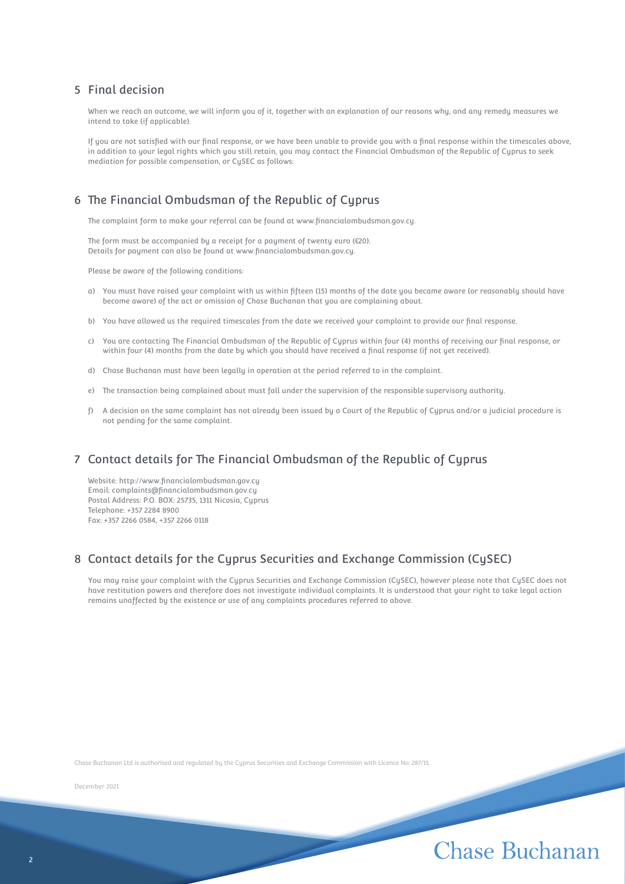#### 5 Final decision

When we reach an outcome, we will inform you of it, together with an explanation of our reasons why, and any remedy measures we intend to take (if applicable).

If you are not satisfied with our final response, or we have been unable to provide you with a final response within the timescales above, in addition to your legal rights which you still retain, you may contact the Financial Ombudsman of the Republic of Cyprus to seek mediation for possible compensation, or CySEC as follows:

## 6 The Financial Ombudsman of the Republic of Cyprus

The complaint form to make your referral can be found at www.financialombudsman.gov.cy.

The form must be accompanied by a receipt for a payment of twenty euro (€20). Details for payment can also be found at www.financialombudsman.gov.cy.

Please be aware of the following conditions:

- a) You must have raised your complaint with us within fifteen (15) months of the date you became aware (or reasonably should have become aware) of the act or omission of Chase Buchanan that you are complaining about.
- b) You have allowed us the required timescales from the date we received your complaint to provide our final response.
- c) You are contacting The Financial Ombudsman of the Republic of Cyprus within four (4) months of receiving our final response, or within four (4) months from the date by which you should have received a final response (if not yet received).
- d) Chase Buchanan must have been legally in operation at the period referred to in the complaint.
- e) The transaction being complained about must fall under the supervision of the responsible supervisory authority.
- f) A decision on the same complaint has not already been issued by a Court of the Republic of Cyprus and/or a judicial procedure is not pending for the same complaint.

#### 7 Contact details for The Financial Ombudsman of the Republic of Cyprus

Website: http://www.financialombudsman.gov.cy Email: complaints@financialombudsman.gov.cy Postal Address: P.O. BOX: 25735, 1311 Nicosia, Cyprus Telephone: +357 2284 8900 Fax: +357 2266 0584, +357 2266 0118

#### 8 Contact details for the Cuprus Securities and Exchange Commission (CuSEC)

You may raise your complaint with the Cyprus Securities and Exchange Commission (CySEC), however please note that CySEC does not have restitution powers and therefore does not investigate individual complaints. It is understood that your right to take legal action remains unaffected by the existence or use of any complaints procedures referred to above.

Chase Buchanan Ltd is authorised and regulated by the Cyprus Securities and Exchange Commission with Licence No: 287/15.

December 2021